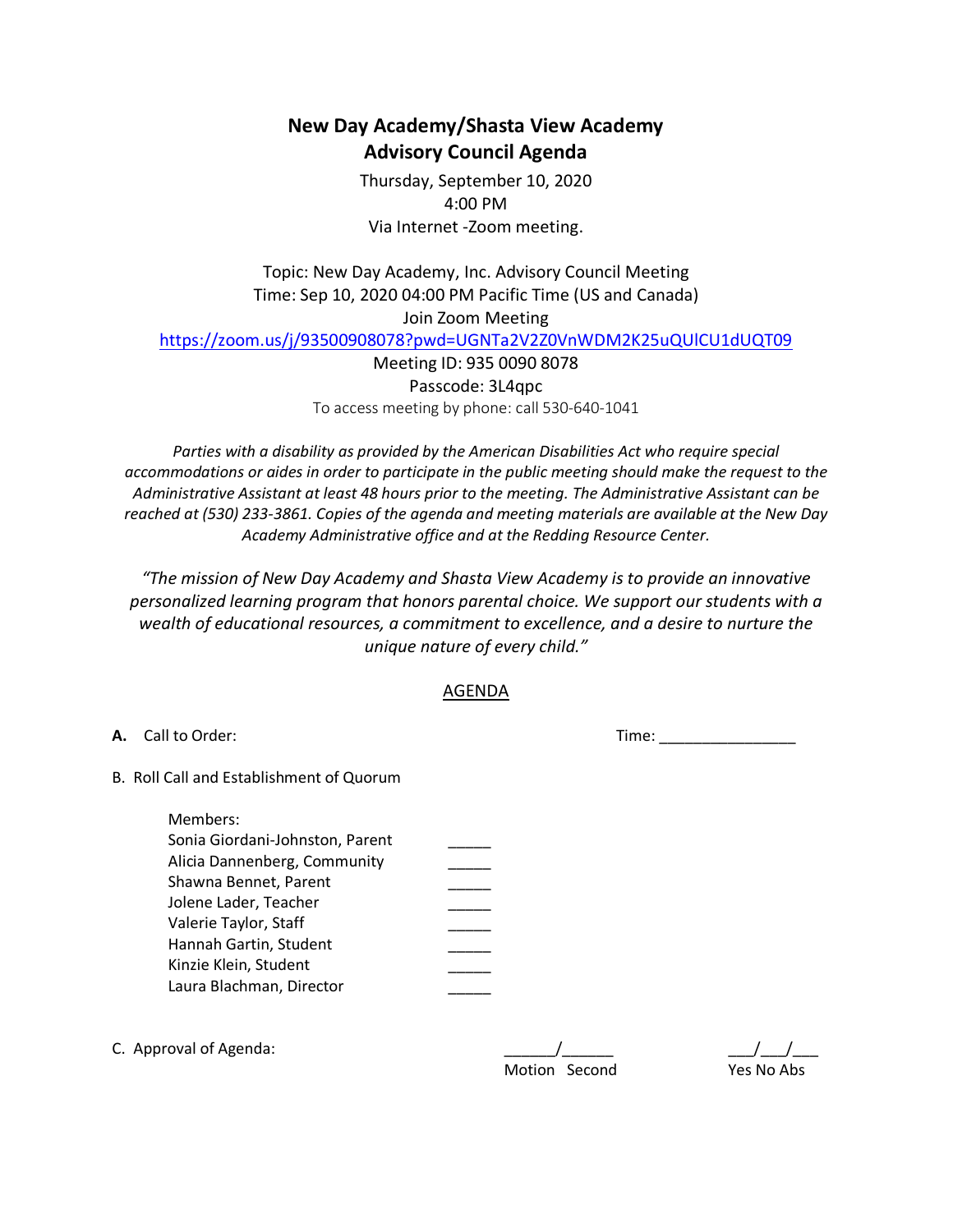## **New Day Academy/Shasta View Academy Advisory Council Agenda**

Thursday, September 10, 2020 4:00 PM Via Internet -Zoom meeting.

Topic: New Day Academy, Inc. Advisory Council Meeting Time: Sep 10, 2020 04:00 PM Pacific Time (US and Canada) Join Zoom Meeting

https://zoom.us/j/93500908078?pwd=UGNTa2V2Z0VnWDM2K25uQUlCU1dUQT09

Meeting ID: 935 0090 8078 Passcode: 3L4qpc To access meeting by phone: call 530-640-1041

*Parties with a disability as provided by the American Disabilities Act who require special accommodations or aides in order to participate in the public meeting should make the request to the Administrative Assistant at least 48 hours prior to the meeting. The Administrative Assistant can be reached at (530) 233-3861. Copies of the agenda and meeting materials are available at the New Day Academy Administrative office and at the Redding Resource Center.*

*"The mission of New Day Academy and Shasta View Academy is to provide an innovative personalized learning program that honors parental choice. We support our students with a wealth of educational resources, a commitment to excellence, and a desire to nurture the unique nature of every child."*

## AGENDA

| А. | Call to Order:                                                                                                                                                                                     | Time:                          |
|----|----------------------------------------------------------------------------------------------------------------------------------------------------------------------------------------------------|--------------------------------|
|    | B. Roll Call and Establishment of Quorum<br>Members:<br>Sonia Giordani-Johnston, Parent<br>Alicia Dannenberg, Community<br>Shawna Bennet, Parent<br>Jolene Lader, Teacher<br>Valerie Taylor, Staff |                                |
|    | Hannah Gartin, Student<br>Kinzie Klein, Student<br>Laura Blachman, Director                                                                                                                        |                                |
|    | C. Approval of Agenda:                                                                                                                                                                             | Yes No Abs<br>Motion<br>Second |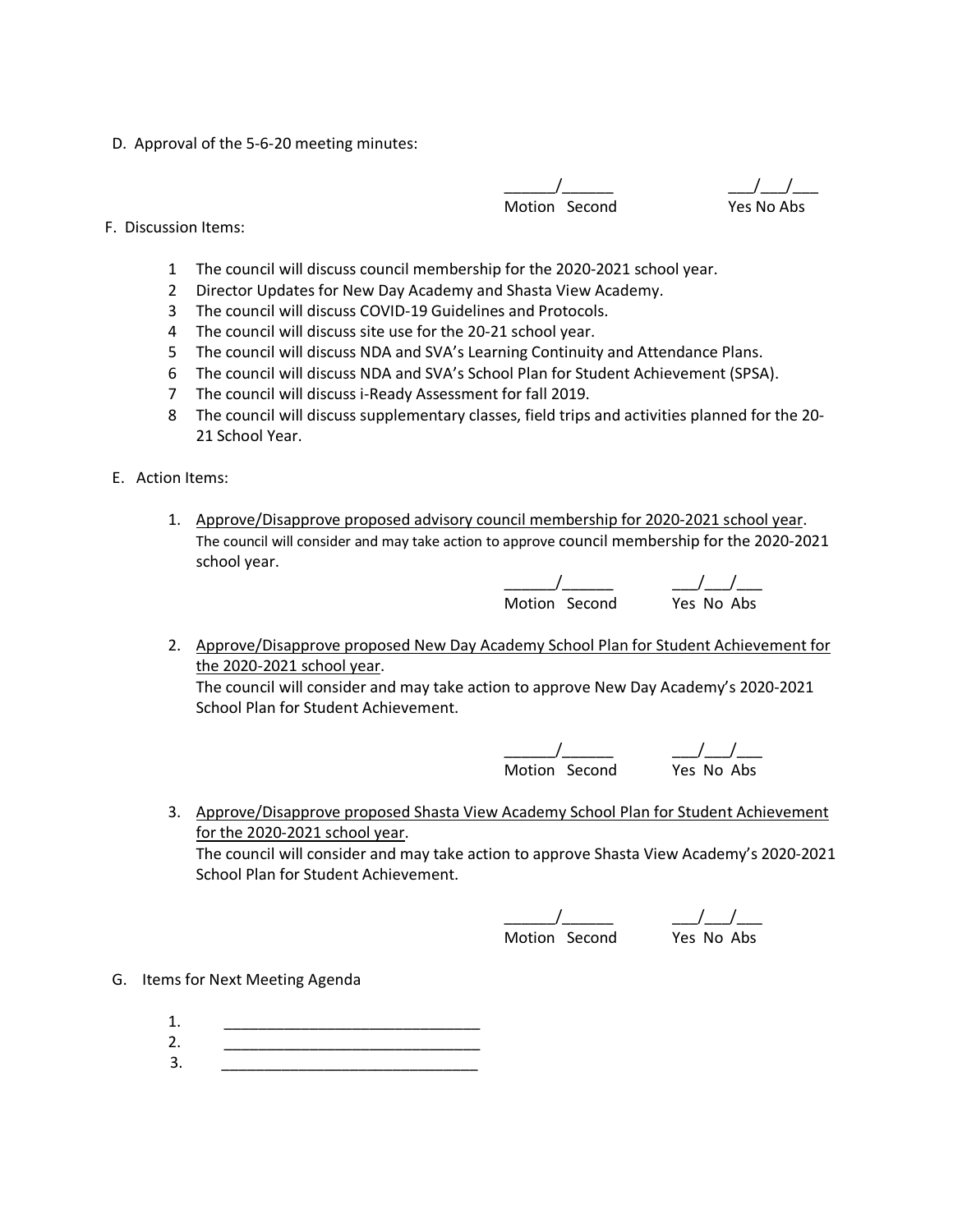D. Approval of the 5-6-20 meeting minutes:

\_\_\_\_\_\_/\_\_\_\_\_\_ \_\_\_/\_\_\_/\_\_\_ Motion Second Yes No Abs

- F. Discussion Items:
	- 1 The council will discuss council membership for the 2020-2021 school year.
	- 2 Director Updates for New Day Academy and Shasta View Academy.
	- 3 The council will discuss COVID-19 Guidelines and Protocols.
	- 4 The council will discuss site use for the 20-21 school year.
	- 5 The council will discuss NDA and SVA's Learning Continuity and Attendance Plans.
	- 6 The council will discuss NDA and SVA's School Plan for Student Achievement (SPSA).
	- 7 The council will discuss i-Ready Assessment for fall 2019.
	- 8 The council will discuss supplementary classes, field trips and activities planned for the 20- 21 School Year.
- E. Action Items:
	- 1. Approve/Disapprove proposed advisory council membership for 2020-2021 school year. The council will consider and may take action to approve council membership for the 2020-2021 school year.

\_\_\_\_\_\_/\_\_\_\_\_\_ \_\_\_/\_\_\_/\_\_\_ Motion Second Yes No Abs

- 
- 2. Approve/Disapprove proposed New Day Academy School Plan for Student Achievement for the 2020-2021 school year.

The council will consider and may take action to approve New Day Academy's 2020-2021 School Plan for Student Achievement.

> \_\_\_\_\_\_/\_\_\_\_\_\_ \_\_\_/\_\_\_/\_\_\_ Motion Second Yes No Abs

3. Approve/Disapprove proposed Shasta View Academy School Plan for Student Achievement for the 2020-2021 school year.

The council will consider and may take action to approve Shasta View Academy's 2020-2021 School Plan for Student Achievement.

\_\_\_\_\_\_/\_\_\_\_\_\_ \_\_\_/\_\_\_/\_\_\_ Motion Second Yes No Abs

- G. Items for Next Meeting Agenda
	- 1. \_\_\_\_\_\_\_\_\_\_\_\_\_\_\_\_\_\_\_\_\_\_\_\_\_\_\_\_\_\_
- 2. \_\_\_\_\_\_\_\_\_\_\_\_\_\_\_\_\_\_\_\_\_\_\_\_\_\_\_\_\_\_ 3. \_\_\_\_\_\_\_\_\_\_\_\_\_\_\_\_\_\_\_\_\_\_\_\_\_\_\_\_\_\_